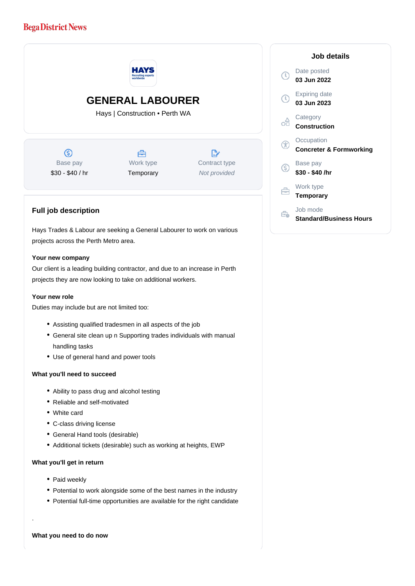## **Bega District News**



**Job details**

**Concreter & Formworking**

**Standard/Business Hours**

Date posted **03 Jun 2022**

Expiring date **03 Jun 2023**

**Category Construction**

**Occupation** 

Base pay **\$30 - \$40 /hr**

Work type **Temporary**

Job mode

Our client is a leading building contractor, and due to an increase in Perth projects they are now looking to take on additional workers.

## **Your new role**

Duties may include but are not limited too:

- Assisting qualified tradesmen in all aspects of the job
- General site clean up n Supporting trades individuals with manual handling tasks
- Use of general hand and power tools

## **What you'll need to succeed**

- Ability to pass drug and alcohol testing
- Reliable and self-motivated
- White card
- C-class driving license
- General Hand tools (desirable)
- Additional tickets (desirable) such as working at heights, EWP

## **What you'll get in return**

- Paid weekly
- Potential to work alongside some of the best names in the industry
- Potential full-time opportunities are available for the right candidate

**What you need to do now**

.